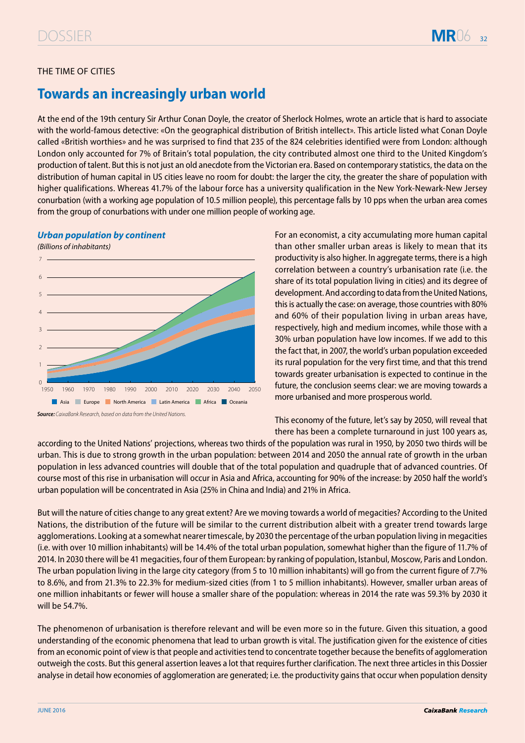# THE TIME OF CITIES

# **Towards an increasingly urban world**

At the end of the 19th century Sir Arthur Conan Doyle, the creator of Sherlock Holmes, wrote an article that is hard to associate with the world-famous detective: «On the geographical distribution of British intellect». This article listed what Conan Doyle called «British worthies» and he was surprised to find that 235 of the 824 celebrities identified were from London: although London only accounted for 7% of Britain's total population, the city contributed almost one third to the United Kingdom's production of talent. But this is not just an old anecdote from the Victorian era. Based on contemporary statistics, the data on the distribution of human capital in US cities leave no room for doubt: the larger the city, the greater the share of population with higher qualifications. Whereas 41.7% of the labour force has a university qualification in the New York-Newark-New Jersey conurbation (with a working age population of 10.5 million people), this percentage falls by 10 pps when the urban area comes from the group of conurbations with under one million people of working age.

### *Urban population by continent*

*(*Billions of inhabitants)



**Source***: CaixaBank Research,* based on data from the United Nations*.* 

For an economist, a city accumulating more human capital than other smaller urban areas is likely to mean that its productivity is also higher. In aggregate terms, there is a high correlation between a country's urbanisation rate (i.e. the share of its total population living in cities) and its degree of development. And according to data from the United Nations, this is actually the case: on average, those countries with 80% and 60% of their population living in urban areas have, respectively, high and medium incomes, while those with a 30% urban population have low incomes. If we add to this the fact that, in 2007, the world's urban population exceeded its rural population for the very first time, and that this trend towards greater urbanisation is expected to continue in the future, the conclusion seems clear: we are moving towards a more urbanised and more prosperous world.

This economy of the future, let's say by 2050, will reveal that there has been a complete turnaround in just 100 years as,

according to the United Nations' projections, whereas two thirds of the population was rural in 1950, by 2050 two thirds will be urban. This is due to strong growth in the urban population: between 2014 and 2050 the annual rate of growth in the urban population in less advanced countries will double that of the total population and quadruple that of advanced countries. Of course most of this rise in urbanisation will occur in Asia and Africa, accounting for 90% of the increase: by 2050 half the world's urban population will be concentrated in Asia (25% in China and India) and 21% in Africa.

But will the nature of cities change to any great extent? Are we moving towards a world of megacities? According to the United Nations, the distribution of the future will be similar to the current distribution albeit with a greater trend towards large agglomerations. Looking at a somewhat nearer timescale, by 2030 the percentage of the urban population living in megacities (i.e. with over 10 million inhabitants) will be 14.4% of the total urban population, somewhat higher than the figure of 11.7% of 2014. In 2030 there will be 41 megacities, four of them European: by ranking of population, Istanbul, Moscow, Paris and London. The urban population living in the large city category (from 5 to 10 million inhabitants) will go from the current figure of 7.7% to 8.6%, and from 21.3% to 22.3% for medium-sized cities (from 1 to 5 million inhabitants). However, smaller urban areas of one million inhabitants or fewer will house a smaller share of the population: whereas in 2014 the rate was 59.3% by 2030 it will be 54.7%.

The phenomenon of urbanisation is therefore relevant and will be even more so in the future. Given this situation, a good understanding of the economic phenomena that lead to urban growth is vital. The justification given for the existence of cities from an economic point of view is that people and activities tend to concentrate together because the benefits of agglomeration outweigh the costs. But this general assertion leaves a lot that requires further clarification. The next three articles in this Dossier analyse in detail how economies of agglomeration are generated; i.e. the productivity gains that occur when population density